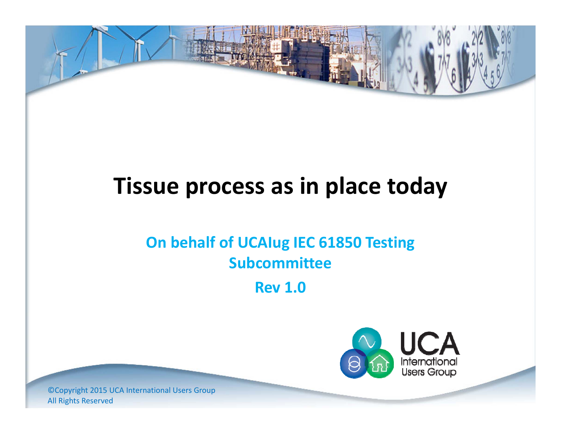

# **Tissue process as in place today**

#### **On behalf of UCAIug IEC 61850 Testing Subcommittee**

**Rev 1.0**



©Copyright 2015 UCA International Users Group All Rights Reserved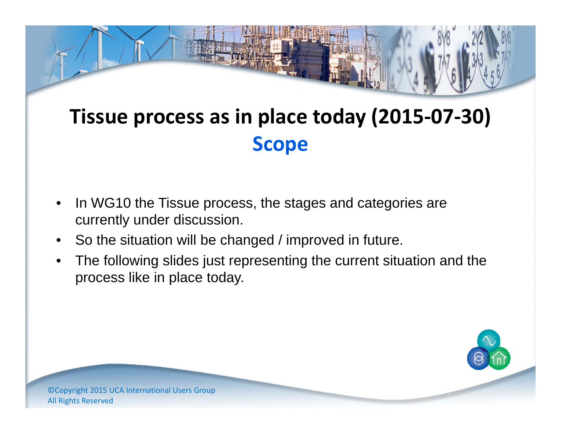## **Tissue process as in place today (2015‐07‐30) Scope**

- • In WG10 the Tissue process, the stages and categories are currently under discussion.
- •So the situation will be changed / improved in future.
- • The following slides just representing the current situation and the process like in place today.

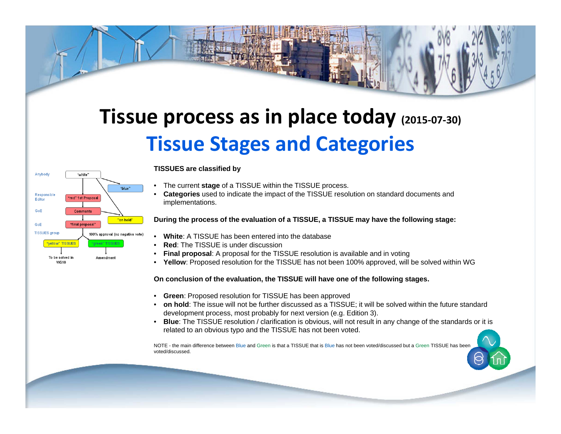### **Tissue process as in place today (2015‐07‐30) Tissue Stages and Categories**



**TISSUES are classified by**

- •The current **stage** of a TISSUE within the TISSUE process.
- • **Categories** used to indicate the impact of the TISSUE resolution on standard documents and implementations.

#### **During the process of the evaluation of a TISSUE, a TISSUE may have the following stage:**

- •**White**: A TISSUE has been entered into the database
- •**Red**: The TISSUE is under discussion
- •**Final proposal**: A proposal for the TISSUE resolution is available and in voting
- **Yellow**: Proposed resolution for the TISSUE has not been 100% approved, will be solved within WG

#### **On conclusion of the evaluation, the TISSUE will have one of the following stages.**

- **Green**: Proposed resolution for TISSUE has been approved
- **on hold**: The issue will not be further discussed as a TISSUE; it will be solved within the future standard development process, most probably for next version (e.g. Edition 3).
- **Blue**: The TISSUE resolution / clarification is obvious, will not result in any change of the standards or it is related to an obvious typo and the TISSUE has not been voted.

NOTE - the main difference between Blue and Green is that a TISSUE that is Blue has not been voted/discussed but a Green TISSUE has been voted/discussed.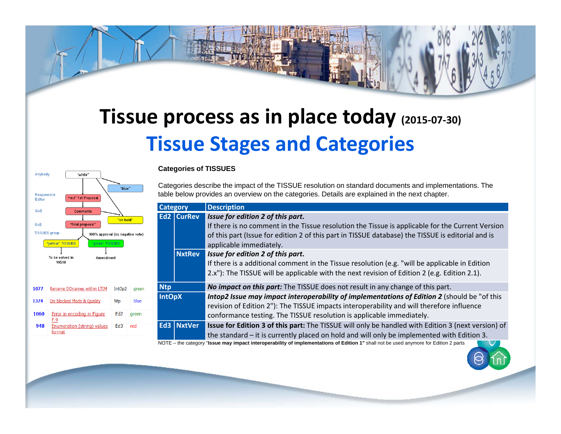### **Tissue process as in place today (2015‐07‐30) Tissue Stages and Categories**



#### **Categories of TISSUES**

Categories describe the impact of the TISSUE resolution on standard documents and implementations. The table below provides an overview on the categories. Details are explained in the next chapter.

| <b>Category</b> |                   | <b>Description</b>                                                                                                                                                                                                                                                    |  |  |
|-----------------|-------------------|-----------------------------------------------------------------------------------------------------------------------------------------------------------------------------------------------------------------------------------------------------------------------|--|--|
|                 | <b>Ed2 CurRev</b> | Issue for edition 2 of this part.<br>If there is no comment in the Tissue resolution the Tissue is applicable for the Current Version<br>of this part (Issue for edition 2 of this part in TISSUE database) the TISSUE is editorial and is<br>applicable immediately. |  |  |
|                 | <b>NxtRev</b>     | Issue for edition 2 of this part.<br>If there is a additional comment in the Tissue resolution (e.g. "will be applicable in Edition<br>2.x"): The TISSUE will be applicable with the next revision of Edition 2 (e.g. Edition 2.1).                                   |  |  |
| <b>Ntp</b>      |                   | No impact on this part: The TISSUE does not result in any change of this part.                                                                                                                                                                                        |  |  |
| <b>IntOpX</b>   |                   | Intop2 Issue may impact interoperability of implementations of Edition 2 (should be "of this<br>revision of Edition 2"): The TISSUE impacts interoperability and will therefore influence<br>conformance testing. The TISSUE resolution is applicable immediately.    |  |  |
|                 | Ed3 NxtVer        | Issue for Edition 3 of this part: The TISSUE will only be handled with Edition 3 (next version) of<br>the standard – it is currently placed on hold and will only be implemented with Edition 3.                                                                      |  |  |

NOTE – the category "**Issue may impact interoperability of implementations of Edition 1"** shall not be used anymore for Edition 2 parts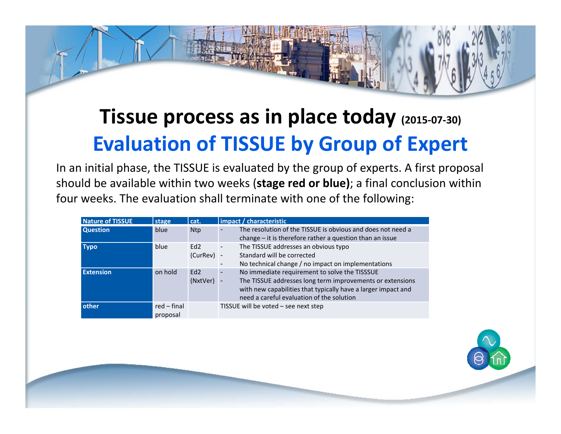### **Tissue process as in place today (2015‐07‐30) Evaluation of TISSUE by Group of Expert**

In an initial phase, the TISSUE is evaluated by the group of experts. A first proposal should be available within two weeks (**stage red or blue)**; <sup>a</sup> final conclusion within four weeks. The evaluation shall terminate with one of the following:

| <b>Nature of TISSUE</b> | stage                     | cat.                | impact / characteristic                                                                                                                                                                                                                    |
|-------------------------|---------------------------|---------------------|--------------------------------------------------------------------------------------------------------------------------------------------------------------------------------------------------------------------------------------------|
| <b>Question</b>         | blue                      | <b>Ntp</b>          | The resolution of the TISSUE is obvious and does not need a<br>change - it is therefore rather a question than an issue                                                                                                                    |
| <b>Typo</b>             | blue                      | Ed2<br>$(CurRev)$ - | The TISSUE addresses an obvious typo<br>٠<br>Standard will be corrected<br>No technical change / no impact on implementations                                                                                                              |
| <b>Extension</b>        | on hold                   | Ed2<br>(NxtVer)     | No immediate requirement to solve the TISSSUE<br>$\blacksquare$<br>The TISSUE addresses long term improvements or extensions<br>with new capabilities that typically have a larger impact and<br>need a careful evaluation of the solution |
| other                   | $red$ – final<br>proposal |                     | TISSUE will be voted $-$ see next step                                                                                                                                                                                                     |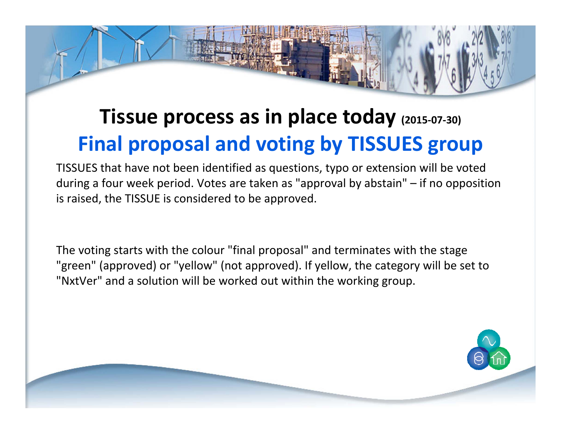### **Tissue process as in place today (2015‐07‐30) Final proposal and voting by TISSUES group**

TISSUES that have not been identified as questions, typo or extension will be voted during <sup>a</sup> four week period. Votes are taken as "approval by abstain" – if no opposition is raised, the TISSUE is considered to be approved.

The voting starts with the colour "final proposal" and terminates with the stage "green" (approved) or "yellow" (not approved). If yellow, the category will be set to "NxtVer" and <sup>a</sup> solution will be worked out within the working group.